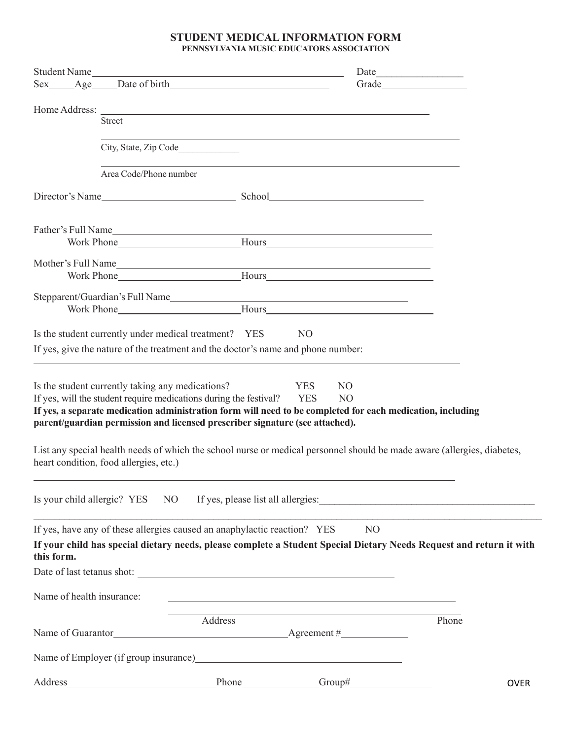## **STUDENT MEDICAL INFORMATION FORM PENNSYLVANIA MUSIC EDUCATORS ASSOCIATION**

| Student Name              |                                                                                                                                                                                                                                                                                                                     | <u> 1989 - Johann Barn, amerikansk politiker (d. 1989)</u> |                                                              | Date           |             |
|---------------------------|---------------------------------------------------------------------------------------------------------------------------------------------------------------------------------------------------------------------------------------------------------------------------------------------------------------------|------------------------------------------------------------|--------------------------------------------------------------|----------------|-------------|
|                           | Sex Age Date of birth                                                                                                                                                                                                                                                                                               |                                                            |                                                              | Grade          |             |
|                           | Home Address: <u>The Community of the Second Second Second Second Second Second Second Second Second Second Second Second Second Second Second Second Second Second Second Second Second Second Second Second Second Second Seco</u>                                                                                |                                                            |                                                              |                |             |
|                           | <b>Street</b>                                                                                                                                                                                                                                                                                                       |                                                            |                                                              |                |             |
|                           | City, State, Zip Code                                                                                                                                                                                                                                                                                               |                                                            |                                                              |                |             |
|                           | Area Code/Phone number                                                                                                                                                                                                                                                                                              |                                                            |                                                              |                |             |
|                           |                                                                                                                                                                                                                                                                                                                     |                                                            |                                                              |                |             |
|                           | Father's Full Name<br>Work Phone<br>Mours<br>Mours<br>Mours                                                                                                                                                                                                                                                         |                                                            |                                                              |                |             |
|                           |                                                                                                                                                                                                                                                                                                                     |                                                            |                                                              |                |             |
|                           |                                                                                                                                                                                                                                                                                                                     |                                                            |                                                              |                |             |
|                           |                                                                                                                                                                                                                                                                                                                     |                                                            |                                                              |                |             |
|                           | Is the student currently under medical treatment? YES                                                                                                                                                                                                                                                               |                                                            | N <sub>O</sub>                                               |                |             |
|                           | If yes, give the nature of the treatment and the doctor's name and phone number:                                                                                                                                                                                                                                    |                                                            |                                                              |                |             |
|                           |                                                                                                                                                                                                                                                                                                                     |                                                            |                                                              |                |             |
|                           | Is the student currently taking any medications?<br>If yes, will the student require medications during the festival?<br>If yes, a separate medication administration form will need to be completed for each medication, including<br>parent/guardian permission and licensed prescriber signature (see attached). |                                                            | <b>YES</b><br>N <sub>O</sub><br><b>YES</b><br>N <sub>O</sub> |                |             |
|                           | List any special health needs of which the school nurse or medical personnel should be made aware (allergies, diabetes,<br>heart condition, food allergies, etc.)                                                                                                                                                   |                                                            |                                                              |                |             |
|                           | Is your child allergic? YES NO If yes, please list all allergies:                                                                                                                                                                                                                                                   |                                                            |                                                              |                |             |
|                           | If yes, have any of these allergies caused an anaphylactic reaction? YES                                                                                                                                                                                                                                            |                                                            |                                                              | N <sub>O</sub> |             |
| this form.                | If your child has special dietary needs, please complete a Student Special Dietary Needs Request and return it with                                                                                                                                                                                                 |                                                            |                                                              |                |             |
|                           |                                                                                                                                                                                                                                                                                                                     |                                                            |                                                              |                |             |
| Name of health insurance: |                                                                                                                                                                                                                                                                                                                     |                                                            |                                                              |                |             |
|                           |                                                                                                                                                                                                                                                                                                                     | Address                                                    |                                                              |                | Phone       |
|                           |                                                                                                                                                                                                                                                                                                                     |                                                            |                                                              |                |             |
|                           | Name of Employer (if group insurance) Manus and the state of Employer (if group insurance)                                                                                                                                                                                                                          |                                                            |                                                              |                |             |
| Address_                  |                                                                                                                                                                                                                                                                                                                     | Phone Group#                                               |                                                              |                | <b>OVER</b> |